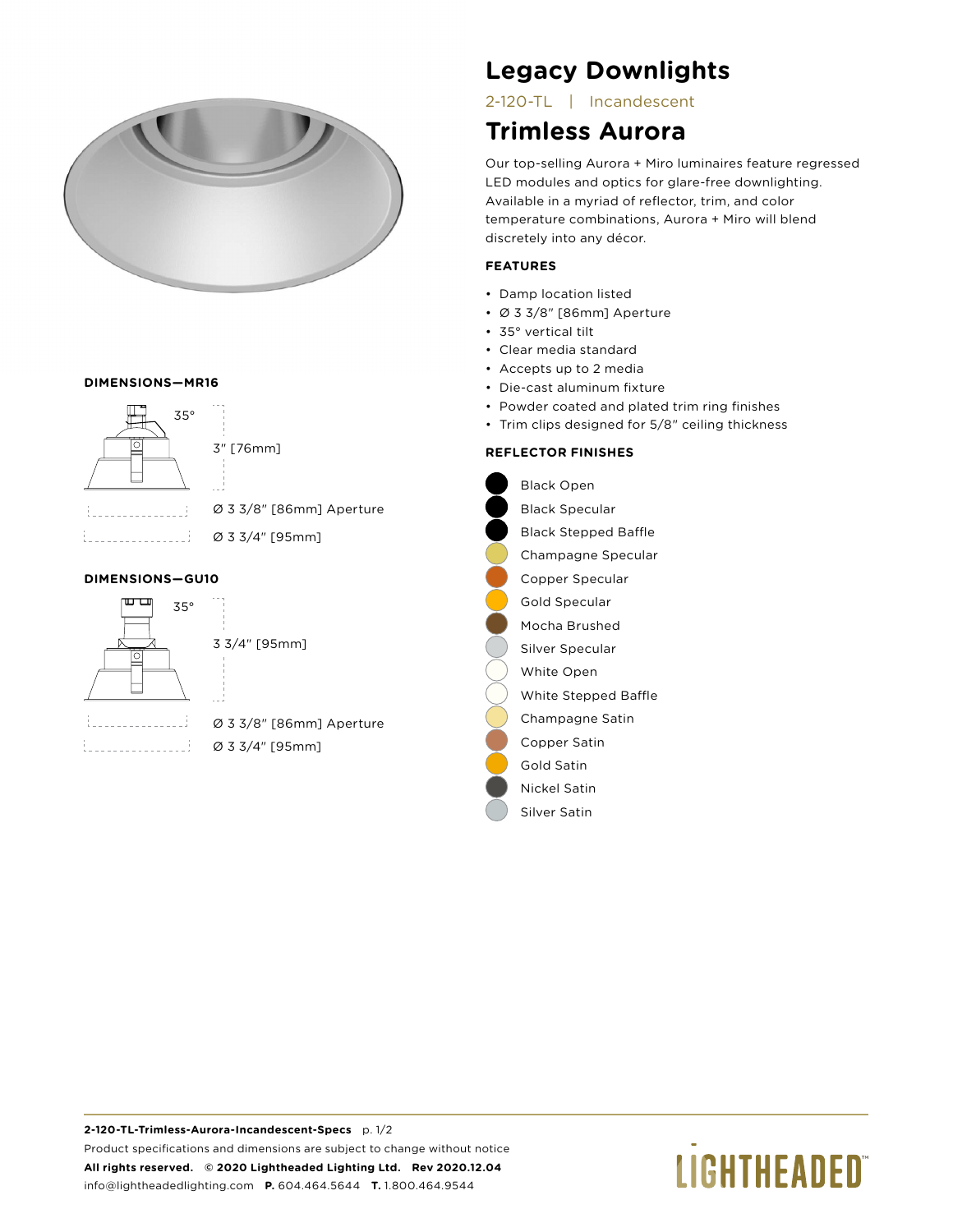

#### **DIMENSIONS—MR16**



#### **DIMENSIONS—GU10**



3 3/4" [95mm]

i. . . . . . . . . . . . . . . . *.* i 

Ø 3 3/8" [86mm] Aperture Ø 3 3/4" [95mm]

# **Legacy Downlights**

2-120-TL | Incandescent

### **Trimless Aurora**

Our top-selling Aurora + Miro luminaires feature regressed LED modules and optics for glare-free downlighting. Available in a myriad of reflector, trim, and color temperature combinations, Aurora + Miro will blend discretely into any décor.

#### **FEATURES**

- Damp location listed
- Ø 3 3/8" [86mm] Aperture
- 35° vertical tilt
- Clear media standard
- Accepts up to 2 media
- Die-cast aluminum fixture
- Powder coated and plated trim ring finishes
- Trim clips designed for 5/8" ceiling thickness

#### **REFLECTOR FINISHES**

Black Open Black Specular Black Stepped Baffle Champagne Specular Copper Specular Gold Specular Mocha Brushed Silver Specular White Open White Stepped Baffle Champagne Satin Copper Satin Gold Satin Nickel Satin Silver Satin

# **LIGHTHEADED**®